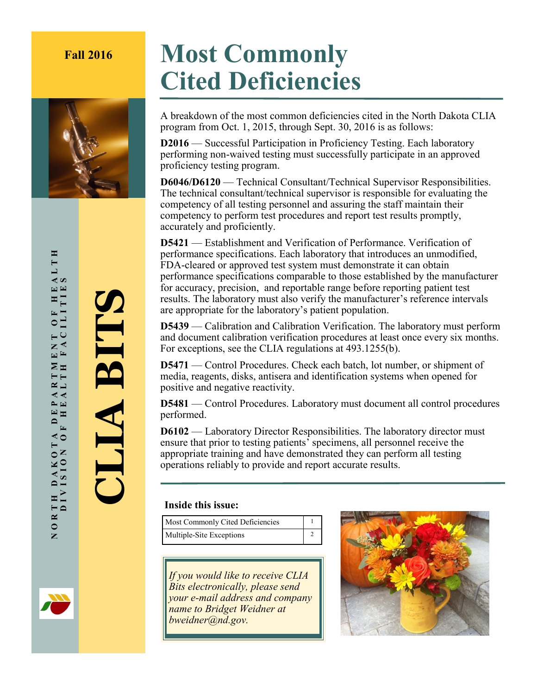## **Fall 2016 Most Commonly Cited Deficiencies**



A breakdown of the most common deficiencies cited in the North Dakota CLIA program from Oct. 1, 2015, through Sept. 30, 2016 is as follows:

**D2016** — Successful Participation in Proficiency Testing. Each laboratory performing non-waived testing must successfully participate in an approved proficiency testing program.

**D6046/D6120** — Technical Consultant/Technical Supervisor Responsibilities. The technical consultant/technical supervisor is responsible for evaluating the competency of all testing personnel and assuring the staff maintain their competency to perform test procedures and report test results promptly, accurately and proficiently.

**D5421** — Establishment and Verification of Performance. Verification of performance specifications. Each laboratory that introduces an unmodified, FDA-cleared or approved test system must demonstrate it can obtain performance specifications comparable to those established by the manufacturer for accuracy, precision, and reportable range before reporting patient test results. The laboratory must also verify the manufacturer's reference intervals are appropriate for the laboratory's patient population.

**D5439** — Calibration and Calibration Verification. The laboratory must perform and document calibration verification procedures at least once every six months. For exceptions, see the CLIA regulations at 493.1255(b).

**D5471** — Control Procedures. Check each batch, lot number, or shipment of media, reagents, disks, antisera and identification systems when opened for positive and negative reactivity.

**D5481** — Control Procedures. Laboratory must document all control procedures performed.

**D6102** — Laboratory Director Responsibilities. The laboratory director must ensure that prior to testing patients' specimens, all personnel receive the appropriate training and have demonstrated they can perform all testing operations reliably to provide and report accurate results.

## **Inside this issue:**

Most Commonly Cited Deficiencies 1 Multiple-Site Exceptions 2

*If you would like to receive CLIA Bits electronically, please send your e-mail address and company name to Bridget Weidner at bweidner@nd.gov.*



ALTH NORTH DAKOTA DEPARTMENT OF HEALTH<br>DIVISION OF HEALTH FACILITIES DIVISION OF HEALTH FACILITIES ENT OF HE.<br>FACILITIE  $\Sigma$  $R_{\text{I}}$  $\blacktriangleleft$   $\blacktriangleleft$  $\approx$   $\approx$  $E_{\rm E}$  $\blacksquare$  $\overline{F}$ ⋖○ TH DAKOT<br>DIVISION  $N$  O R  $'$ 

**CLIA BITS**